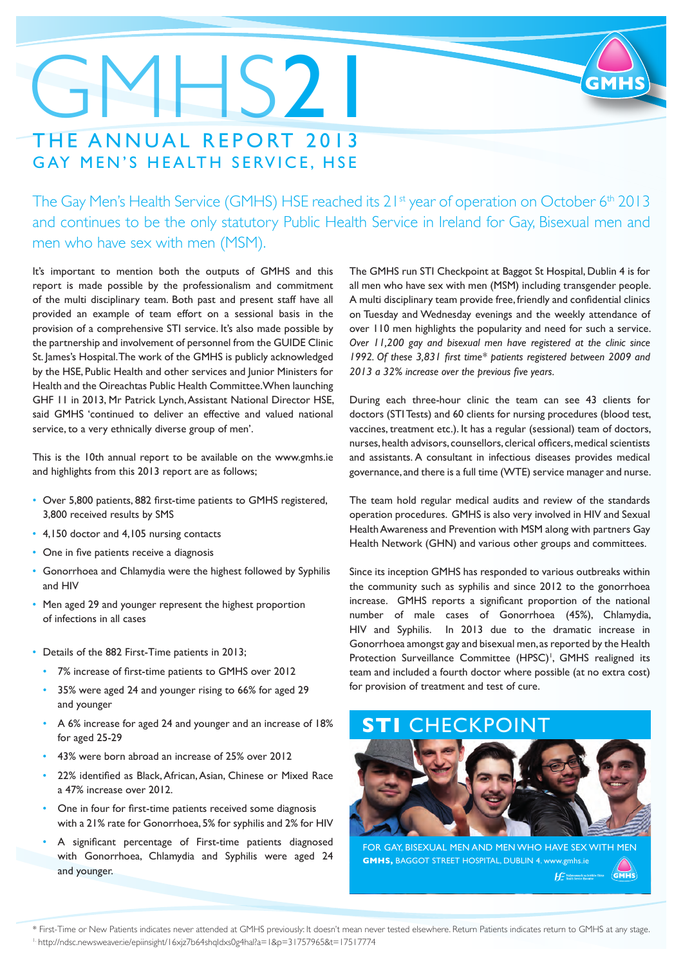### GMHS21 THE ANNUAL REPORT 2013 GAY MEN'S HEALTH SERVICE, HSE

The Gay Men's Health Service (GMHS) HSE reached its 21<sup>st</sup> year of operation on October 6<sup>th</sup> 2013 and continues to be the only statutory Public Health Service in Ireland for Gay, Bisexual men and men who have sex with men (MSM).

It's important to mention both the outputs of GMHS and this report is made possible by the professionalism and commitment of the multi disciplinary team. Both past and present staff have all provided an example of team effort on a sessional basis in the provision of a comprehensive STI service. It's also made possible by the partnership and involvement of personnel from the GUIDE Clinic St. James's Hospital. The work of the GMHS is publicly acknowledged by the HSE, Public Health and other services and Junior Ministers for Health and the Oireachtas Public Health Committee. When launching GHF 11 in 2013, Mr Patrick Lynch, Assistant National Director HSE, said GMHS 'continued to deliver an effective and valued national service, to a very ethnically diverse group of men'.

This is the 10th annual report to be available on the [www.gmhs.ie](http://www.gmhs.ie)  and highlights from this 2013 report are as follows;

- Over 5,800 patients, 882 first-time patients to GMHS registered, 3,800 received results by SMS
- 4,150 doctor and 4,105 nursing contacts
- One in five patients receive a diagnosis
- Gonorrhoea and Chlamydia were the highest followed by Syphilis and HIV
- Men aged 29 and younger represent the highest proportion of infections in all cases
- Details of the 882 First-Time patients in 2013;
	- • 7% increase of first-time patients to GMHS over 2012
	- 35% were aged 24 and younger rising to 66% for aged 29 and younger
	- A 6% increase for aged 24 and younger and an increase of 18% for aged 25-29
	- 43% were born abroad an increase of 25% over 2012
	- 22% identified as Black, African, Asian, Chinese or Mixed Race a 47% increase over 2012.
	- One in four for first-time patients received some diagnosis with a 21% rate for Gonorrhoea, 5% for syphilis and 2% for HIV
	- • A significant percentage of First-time patients diagnosed with Gonorrhoea, Chlamydia and Syphilis were aged 24 and younger.

The GMHS run STI Checkpoint at Baggot St Hospital, Dublin 4 is for all men who have sex with men (MSM) including transgender people. A multi disciplinary team provide free, friendly and confidential clinics on Tuesday and Wednesday evenings and the weekly attendance of over 110 men highlights the popularity and need for such a service. *Over 11,200 gay and bisexual men have registered at the clinic since 1992. Of these 3,831 first time\* patients registered between 2009 and 2013 a 32% increase over the previous five years.*

During each three-hour clinic the team can see 43 clients for doctors (STI Tests) and 60 clients for nursing procedures (blood test, vaccines, treatment etc.). It has a regular (sessional) team of doctors, nurses, health advisors, counsellors, clerical officers, medical scientists and assistants. A consultant in infectious diseases provides medical governance, and there is a full time (WTE) service manager and nurse.

The team hold regular medical audits and review of the standards operation procedures. GMHS is also very involved in HIV and Sexual Health Awareness and Prevention with MSM along with partners Gay Health Network (GHN) and various other groups and committees.

Since its inception GMHS has responded to various outbreaks within the community such as syphilis and since 2012 to the gonorrhoea increase. GMHS reports a significant proportion of the national number of male cases of Gonorrhoea (45%), Chlamydia, HIV and Syphilis. In 2013 due to the dramatic increase in Gonorrhoea amongst gay and bisexual men, as reported by the Health Protection Surveillance Committee (HPSC)<sup>1</sup>, GMHS realigned its team and included a fourth doctor where possible (at no extra cost) for provision of treatment and test of cure.

### **STI** CHECKPOINT



FOR GAY, BISEXUAL MEN AND MEN WHO HAVE SEX WITH MEN **GMHS,** BAGGOT STREET HOSPITAL, DUBLIN 4. [www.gmhs.ie](http://www.gmhs.ie) $\bigotimes_{\mathsf{GMMS}}$  $\mathcal{H}^{\mathbb{Z}}$  Feithermatian Say

\* First-Time or New Patients indicates never attended at GMHS previously: It doesn't mean never tested elsewhere. Return Patients indicates return to GMHS at any stage. <sup>1.</sup><http://ndsc.newsweaver.ie/epiinsight/16xjz7b64shqldxs0g4hal?a=1&p=31757965&t=17517774>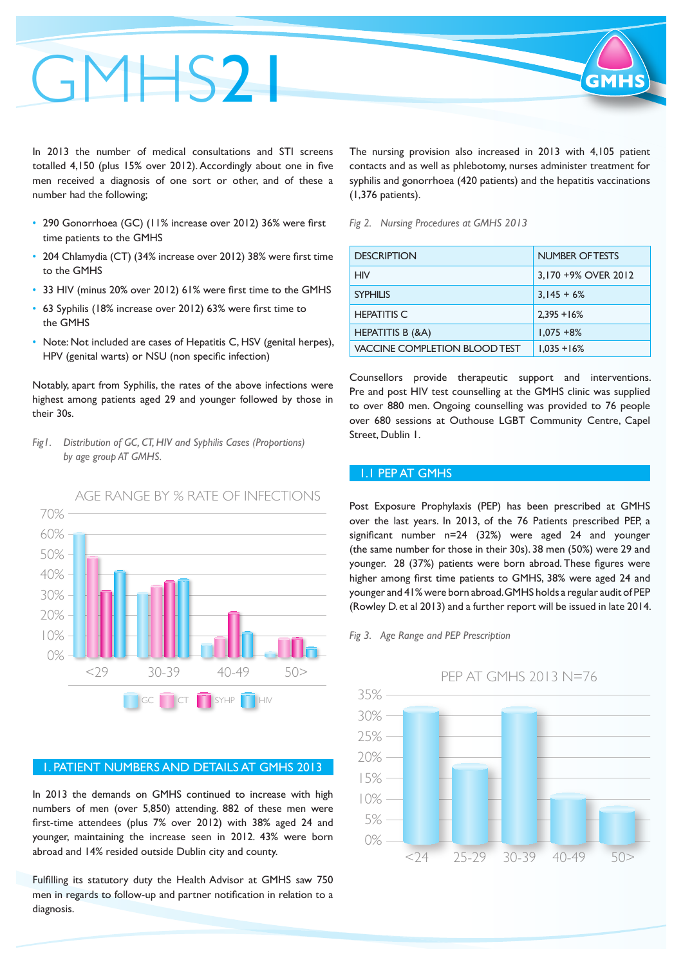# GMHS<sub>2</sub>1

In 2013 the number of medical consultations and STI screens totalled 4,150 (plus 15% over 2012). Accordingly about one in five men received a diagnosis of one sort or other, and of these a number had the following;

- 290 Gonorrhoea (GC) (11% increase over 2012) 36% were first time patients to the GMHS
- 204 Chlamydia (CT) (34% increase over 2012) 38% were first time to the GMHS
- 33 HIV (minus 20% over 2012) 61% were first time to the GMHS
- • 63 Syphilis (18% increase over 2012) 63% were first time to the GMHS
- Note: Not included are cases of Hepatitis C, HSV (genital herpes), HPV (genital warts) or NSU (non specific infection)

Notably, apart from Syphilis, the rates of the above infections were highest among patients aged 29 and younger followed by those in their 30s.

*Fig1. Distribution of GC, CT, HIV and Syphilis Cases (Proportions) by age group AT GMHS.*



#### 1. PATIENT NUMBERS AND DETAILS AT GMHS 2013

In 2013 the demands on GMHS continued to increase with high numbers of men (over 5,850) attending. 882 of these men were first-time attendees (plus 7% over 2012) with 38% aged 24 and younger, maintaining the increase seen in 2012. 43% were born abroad and 14% resided outside Dublin city and county.

Fulfilling its statutory duty the Health Advisor at GMHS saw 750 men in regards to follow-up and partner notification in relation to a diagnosis.

The nursing provision also increased in 2013 with 4,105 patient contacts and as well as phlebotomy, nurses administer treatment for syphilis and gonorrhoea (420 patients) and the hepatitis vaccinations (1,376 patients).

#### *Fig 2. Nursing Procedures at GMHS 2013*

| <b>DESCRIPTION</b>                   | <b>NUMBER OF TESTS</b> |
|--------------------------------------|------------------------|
| HIV                                  | 3,170 +9% OVER 2012    |
| <b>SYPHILIS</b>                      | $3,145 + 6%$           |
| <b>HEPATITIS C</b>                   | $2.395 + 16%$          |
| <b>HEPATITIS B (&amp;A)</b>          | $1,075 + 8%$           |
| <b>VACCINE COMPLETION BLOOD TEST</b> | $1.035 + 16%$          |

Counsellors provide therapeutic support and interventions. Pre and post HIV test counselling at the GMHS clinic was supplied to over 880 men. Ongoing counselling was provided to 76 people over 680 sessions at Outhouse LGBT Community Centre, Capel Street, Dublin 1.

#### 1.1 PEP AT GMHS

Post Exposure Prophylaxis (PEP) has been prescribed at GMHS over the last years. In 2013, of the 76 Patients prescribed PEP, a significant number n=24 (32%) were aged 24 and younger (the same number for those in their 30s). 38 men (50%) were 29 and younger. 28 (37%) patients were born abroad. These figures were higher among first time patients to GMHS, 38% were aged 24 and younger and 41% were born abroad. GMHS holds a regular audit of PEP (Rowley D. et al 2013) and a further report will be issued in late 2014.

#### *Fig 3. Age Range and PEP Prescription*



#### PEP AT GMHS 2013 N=76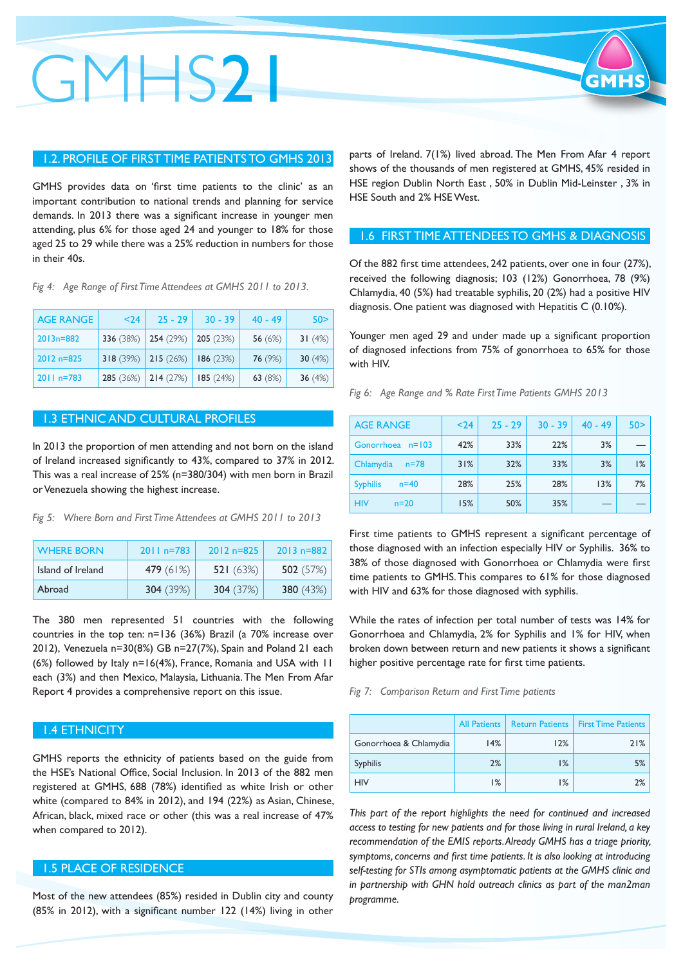### GMHS21

#### 1.2. PROFILE OF FIRST TIME PATIENTS TO GMHS 2013

GMHS provides data on 'first time patients to the clinic' as an important contribution to national trends and planning for service demands. In 2013 there was a significant increase in younger men attending, plus 6% for those aged 24 and younger to 18% for those aged 25 to 29 while there was a 25% reduction in numbers for those in their 40s.

*Fig 4: Age Range of First Time Attendees at GMHS 2011 to 2013.*

| <b>AGE RANGE</b> | $24$      | $25 - 29$ | $30 - 39$ | $40 - 49$ | 50 >      |
|------------------|-----------|-----------|-----------|-----------|-----------|
| $2013n = 882$    | 336 (38%) | 254 (29%) | 205(23%)  | 56 $(6%)$ | 31 $(4%)$ |
| $2012 n = 825$   | 318(39%)  | 215(26%)  | 186(23%)  | 76 (9%)   | 30 $(4%)$ |
| $2011 n = 783$   | 285 (36%) | 214(27%)  | 185(24%)  | 63 (8%)   | 36 $(4%)$ |

#### 1.3 ETHNIC AND CULTURAL PROFILES

In 2013 the proportion of men attending and not born on the island of Ireland increased significantly to 43%, compared to 37% in 2012. This was a real increase of 25% (n=380/304) with men born in Brazil orVenezuela showing the highest increase.

*Fig 5: Where Born and First Time Attendees at GMHS 2011 to 2013*

| <b>WHERE BORN</b> | $2011 n = 783$ | $2012 n = 825$ | $2013 n = 882$     |
|-------------------|----------------|----------------|--------------------|
| Island of Ireland | 479(61%)       | 521(63%)       | 502 $(57%)$        |
| Abroad            | 304(39%)       | 304(37%)       | <b>380</b> $(43%)$ |

The 380 men represented 51 countries with the following countries in the top ten: n=136 (36%) Brazil (a 70% increase over 2012), Venezuela n=30(8%) GB n=27(7%), Spain and Poland 21 each (6%) followed by Italy n=16(4%), France, Romania and USA with 11 each (3%) and then Mexico, Malaysia, Lithuania. The Men From Afar Report 4 provides a comprehensive report on this issue.

#### 1.4 ETHNICITY

GMHS reports the ethnicity of patients based on the guide from the HSE's National Office, Social Inclusion. In 2013 of the 882 men registered at GMHS, 688 (78%) identified as white Irish or other white (compared to 84% in 2012), and 194 (22%) as Asian, Chinese, African, black, mixed race or other (this was a real increase of 47% when compared to 2012).

#### 1.5 PLACE OF RESIDENCE

Most of the new attendees (85%) resided in Dublin city and county (85% in 2012), with a significant number 122 (14%) living in other

parts of Ireland. 7(1%) lived abroad. The Men From Afar 4 report shows of the thousands of men registered at GMHS, 45% resided in HSE region Dublin North East , 50% in Dublin Mid-Leinster , 3% in HSE South and 2% HSE West.

#### 1.6 FIRST TIME ATTENDEES TO GMHS & DIAGNOSIS

Of the 882 first time attendees, 242 patients, over one in four (27%), received the following diagnosis; 103 (12%) Gonorrhoea, 78 (9%) Chlamydia, 40 (5%) had treatable syphilis, 20 (2%) had a positive HIV diagnosis. One patient was diagnosed with Hepatitis C (0.10%).

Younger men aged 29 and under made up a significant proportion of diagnosed infections from 75% of gonorrhoea to 65% for those with HIV.

*Fig 6: Age Range and % Rate First Time Patients GMHS 2013*

| <b>AGE RANGE</b>          | $24$ | $25 - 29$ | $30 - 39$ | $40 - 49$ | 50 > |
|---------------------------|------|-----------|-----------|-----------|------|
| Gonorrhoea n=103          | 42%  | 33%       | 22%       | 3%        |      |
| Chlamydia<br>$n = 78$     | 31%  | 32%       | 33%       | 3%        | 1%   |
| <b>Syphilis</b><br>$n=40$ | 28%  | 25%       | 28%       | 13%       | 7%   |
| <b>HIV</b><br>$n=20$      | 15%  | 50%       | 35%       |           |      |

First time patients to GMHS represent a significant percentage of those diagnosed with an infection especially HIV or Syphilis. 36% to 38% of those diagnosed with Gonorrhoea or Chlamydia were first time patients to GMHS. This compares to 61% for those diagnosed with HIV and 63% for those diagnosed with syphilis.

While the rates of infection per total number of tests was 14% for Gonorrhoea and Chlamydia, 2% for Syphilis and 1% for HIV, when broken down between return and new patients it shows a significant higher positive percentage rate for first time patients.

*Fig 7: Comparison Return and First Time patients*

|                        | <b>All Patients</b> | <b>Return Patients</b> | <b>First Time Patients</b> |
|------------------------|---------------------|------------------------|----------------------------|
| Gonorrhoea & Chlamydia | 14%                 | 12%                    | 21%                        |
| <b>Syphilis</b>        | 2%                  | 1%                     | 5%                         |
| <b>HIV</b>             | 1%                  | 1%                     | 2%                         |

*This part of the report highlights the need for continued and increased access to testing for new patients and for those living in rural Ireland, a key recommendation of the EMIS reports. Already GMHS has a triage priority, symptoms, concerns and first time patients. It is also looking at introducing self-testing for STIs among asymptomatic patients at the GMHS clinic and in partnership with GHN hold outreach clinics as part of the man2man programme.*